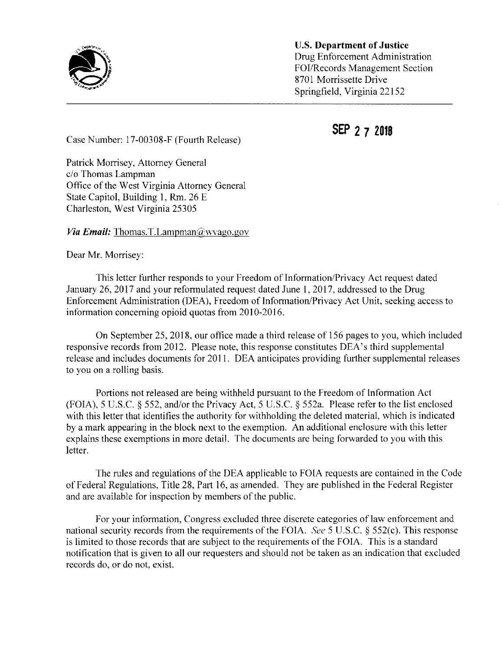

U.S. Department of Justice Drug Enforcement Administration FOI/Records Management Section 8701 Morrissette Drive Springfield, Virginia 22152

SEP 2 7 2018

Case Number: 17-00308-F (Fourth Release)

Patrick Morrisey, Attorney General c/o Thomas Lampman Office of the West Virginia Attorney General State Capitol, Building 1, Rm. 26 E Charleston, West Virginia 25305

*Via Email:* Thomas.T.Lampman $(\partial_\mu w \vee \partial_\nu w)$ 

Dear Mr. Morrisey:

This letter further responds to your Freedom of Information/Privacy Act request dated January 26, 2017 and your reformulated request dated June 1, 2017, addressed to the Drug Enforcement Administration (DEA), Freedom of Information/Privacy Act Unit, seeking access to information concerning opioid quotas from 2010-2016.

On September 25, 2018, our office made a third release of 156 pages to you, which included responsive records from 2012. Please note, this response constitutes DEA's third supplemental release and includes documents for 2011. DEA anticipates providing further supplemental releases to you on a rolling basis.

Portions not released are being withheld pursuant to the Freedom of Information Act (FOIA), <sup>5</sup> U.S.C. § 552, and/or the Privacy Act, 5 U.S.C. § 552a. Please refer to the list enclosed with this letter that identifies the authority for withholding the deleted material, which is indicated by a mark appearing in the block next to the exemption. An additional enclosure with this letter explains these exemptions in more detail. The documents are being forwarded to you with this letter.

The rules and regulations of the DEA applicable to FOIA requests are contained in the Code of Federal Regulations, Title 28, Part 16, as amended. They are published in the Federal Register and are available for inspection by members of the public.

For your information, Congress excluded three discrete categories of law enforcement and national security records from the requirements of the FOIA. See <sup>5</sup> U.S.C. § 552(c). This response is limited to those records that are subject to the requirements of the FOIA. This is a standard notification that is given to all our requesters and should not be taken as an indication that excluded records do, or do not, exist.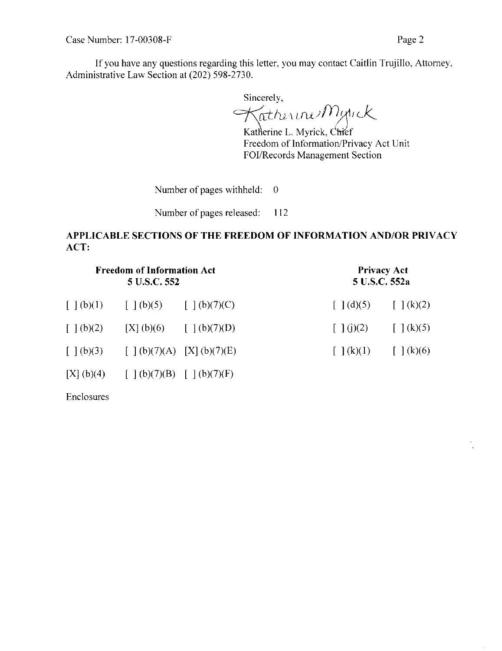If you have any questions regarding this letter, you may contact Caitlin Trujillo, Attorney. Administrative Law Section at (202) 598-2730.

Sincerely,  $\mathcal{Y}^{f_1}$ C

Katherine L. Myrick, C<del>hi</del>ef Freedom of Information/Privacy Act Unit FOI/Records Management Section

Number of pages withheld: 0

Number of pages released: 112

## APPLICABLE SECTIONS OF THE FREEDOM OF INFORMATION AND/OR PRIVACY ACT:

| <b>Freedom of Information Act</b><br>5 U.S.C. 552 |                                                                                                                    |                          | <b>Privacy Act</b><br>5 U.S.C. 552a |                        |
|---------------------------------------------------|--------------------------------------------------------------------------------------------------------------------|--------------------------|-------------------------------------|------------------------|
|                                                   | $\lceil \, \cdot \, \rceil(b)(1) \qquad \lceil \, \cdot \, \rceil(b)(5) \qquad \lceil \, \cdot \, \rceil(b)(7)(C)$ |                          | $\lceil \cdot \rceil$ (d)(5)        | $\int$ $(k)(2)$        |
| $\lceil (b)(2) \rceil$                            |                                                                                                                    | [X] (b)(6) [ ] (b)(7)(D) | $\lceil \ \rceil$ (j)(2)            | $\int (k)(5)$          |
|                                                   | $[ ] (b)(3) [ ] (b)(7)(A) [X] (b)(7)(E)$                                                                           |                          | $\lceil (k)(1) \rceil$              | $\lceil (k)(6) \rceil$ |
| [X](b)(4)                                         | $\lceil \, \pceil(b)(7)(B) \, \pceil(\lceil b)(7)(F) \rceil$                                                       |                          |                                     |                        |

Enclosures